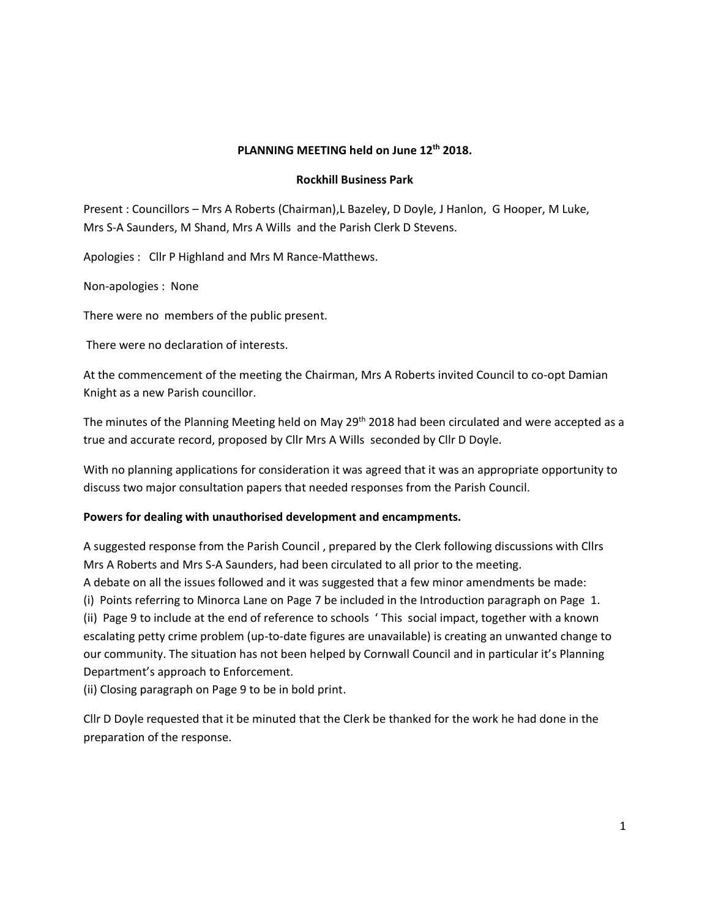# **PLANNING MEETING held on June 12th 2018.**

#### **Rockhill Business Park**

Present : Councillors – Mrs A Roberts (Chairman),L Bazeley, D Doyle, J Hanlon, G Hooper, M Luke, Mrs S-A Saunders, M Shand, Mrs A Wills and the Parish Clerk D Stevens.

Apologies : Cllr P Highland and Mrs M Rance-Matthews.

Non-apologies : None

There were no members of the public present.

There were no declaration of interests.

At the commencement of the meeting the Chairman, Mrs A Roberts invited Council to co-opt Damian Knight as a new Parish councillor.

The minutes of the Planning Meeting held on May 29<sup>th</sup> 2018 had been circulated and were accepted as a true and accurate record, proposed by Cllr Mrs A Wills seconded by Cllr D Doyle.

With no planning applications for consideration it was agreed that it was an appropriate opportunity to discuss two major consultation papers that needed responses from the Parish Council.

#### **Powers for dealing with unauthorised development and encampments.**

A suggested response from the Parish Council , prepared by the Clerk following discussions with Cllrs Mrs A Roberts and Mrs S-A Saunders, had been circulated to all prior to the meeting.

A debate on all the issues followed and it was suggested that a few minor amendments be made:

(i) Points referring to Minorca Lane on Page 7 be included in the Introduction paragraph on Page 1.

(ii) Page 9 to include at the end of reference to schools ' This social impact, together with a known escalating petty crime problem (up-to-date figures are unavailable) is creating an unwanted change to our community. The situation has not been helped by Cornwall Council and in particular it's Planning Department's approach to Enforcement.

(ii) Closing paragraph on Page 9 to be in bold print.

Cllr D Doyle requested that it be minuted that the Clerk be thanked for the work he had done in the preparation of the response.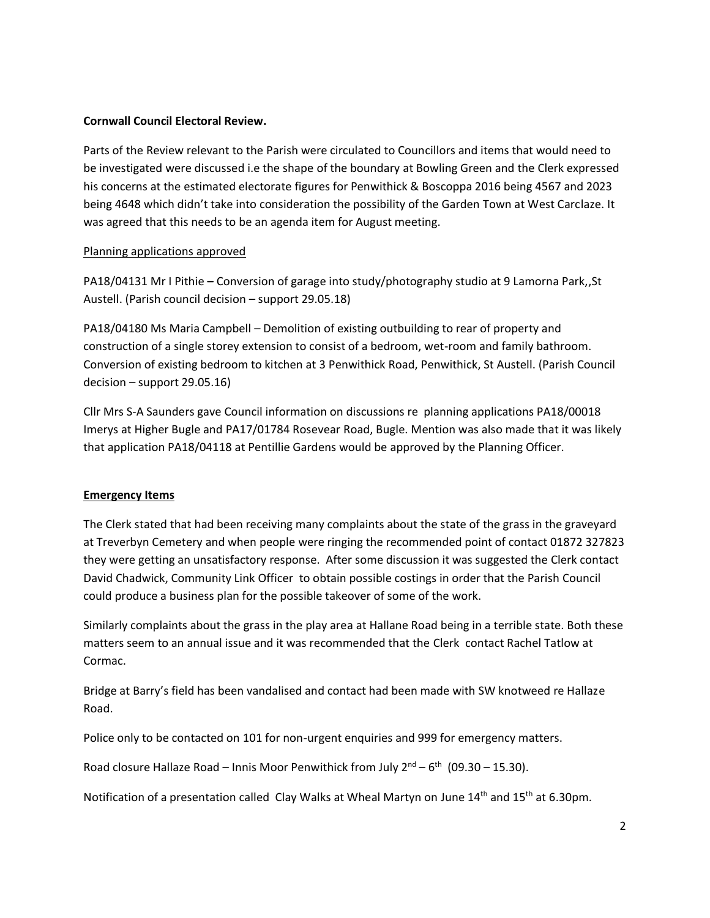### **Cornwall Council Electoral Review.**

Parts of the Review relevant to the Parish were circulated to Councillors and items that would need to be investigated were discussed i.e the shape of the boundary at Bowling Green and the Clerk expressed his concerns at the estimated electorate figures for Penwithick & Boscoppa 2016 being 4567 and 2023 being 4648 which didn't take into consideration the possibility of the Garden Town at West Carclaze. It was agreed that this needs to be an agenda item for August meeting.

## Planning applications approved

PA18/04131 Mr I Pithie **–** Conversion of garage into study/photography studio at 9 Lamorna Park,,St Austell. (Parish council decision – support 29.05.18)

PA18/04180 Ms Maria Campbell – Demolition of existing outbuilding to rear of property and construction of a single storey extension to consist of a bedroom, wet-room and family bathroom. Conversion of existing bedroom to kitchen at 3 Penwithick Road, Penwithick, St Austell. (Parish Council decision – support 29.05.16)

Cllr Mrs S-A Saunders gave Council information on discussions re planning applications PA18/00018 Imerys at Higher Bugle and PA17/01784 Rosevear Road, Bugle. Mention was also made that it was likely that application PA18/04118 at Pentillie Gardens would be approved by the Planning Officer.

### **Emergency Items**

The Clerk stated that had been receiving many complaints about the state of the grass in the graveyard at Treverbyn Cemetery and when people were ringing the recommended point of contact 01872 327823 they were getting an unsatisfactory response. After some discussion it was suggested the Clerk contact David Chadwick, Community Link Officer to obtain possible costings in order that the Parish Council could produce a business plan for the possible takeover of some of the work.

Similarly complaints about the grass in the play area at Hallane Road being in a terrible state. Both these matters seem to an annual issue and it was recommended that the Clerk contact Rachel Tatlow at Cormac.

Bridge at Barry's field has been vandalised and contact had been made with SW knotweed re Hallaze Road.

Police only to be contacted on 101 for non-urgent enquiries and 999 for emergency matters.

Road closure Hallaze Road – Innis Moor Penwithick from July  $2^{nd} - 6^{th}$  (09.30 – 15.30).

Notification of a presentation called Clay Walks at Wheal Martyn on June 14<sup>th</sup> and 15<sup>th</sup> at 6.30pm.